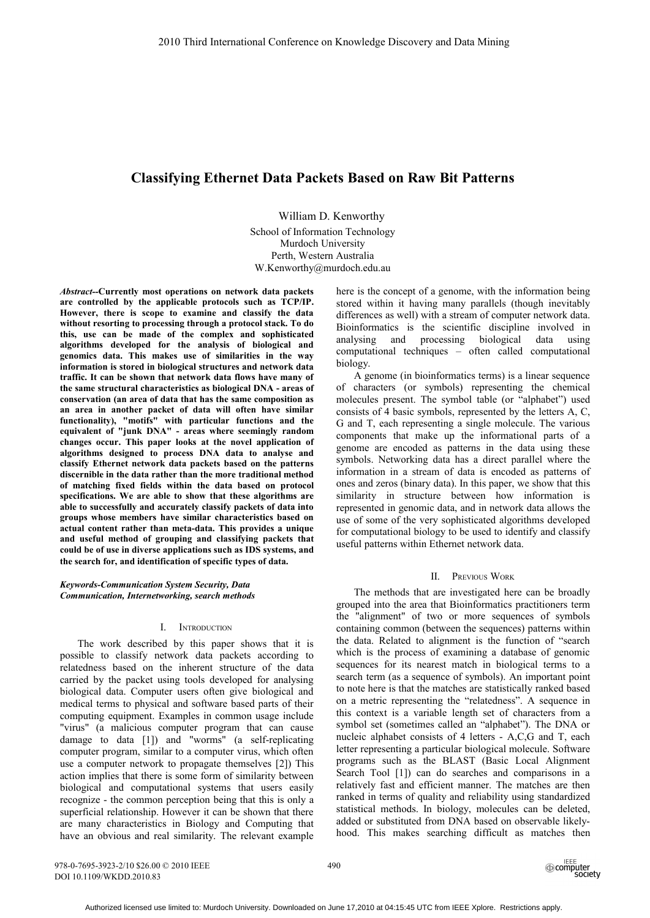# **Classifying Ethernet Data Packets Based on Raw Bit Patterns**

William D. Kenworthy School of Information Technology Murdoch University Perth, Western Australia W.Kenworthy@murdoch.edu.au

*Abstract--***Currently most operations on network data packets are controlled by the applicable protocols such as TCP/IP. However, there is scope to examine and classify the data without resorting to processing through a protocol stack. To do this, use can be made of the complex and sophisticated algorithms developed for the analysis of biological and genomics data. This makes use of similarities in the way information is stored in biological structures and network data traffic. It can be shown that network data flows have many of the same structural characteristics as biological DNA - areas of conservation (an area of data that has the same composition as an area in another packet of data will often have similar functionality), "motifs" with particular functions and the equivalent of "junk DNA" - areas where seemingly random changes occur. This paper looks at the novel application of algorithms designed to process DNA data to analyse and classify Ethernet network data packets based on the patterns discernible in the data rather than the more traditional method of matching fixed fields within the data based on protocol specifications. We are able to show that these algorithms are able to successfully and accurately classify packets of data into groups whose members have similar characteristics based on actual content rather than meta-data. This provides a unique and useful method of grouping and classifying packets that could be of use in diverse applications such as IDS systems, and the search for, and identification of specific types of data.**

## *Keywords-Communication System Security, Data Communication, Internetworking, search methods*

## I. INTRODUCTION

The work described by this paper shows that it is possible to classify network data packets according to relatedness based on the inherent structure of the data carried by the packet using tools developed for analysing biological data. Computer users often give biological and medical terms to physical and software based parts of their computing equipment. Examples in common usage include "virus" (a malicious computer program that can cause damage to data [1]) and "worms" (a self-replicating computer program, similar to a computer virus, which often use a computer network to propagate themselves [2]) This action implies that there is some form of similarity between biological and computational systems that users easily recognize - the common perception being that this is only a superficial relationship. However it can be shown that there are many characteristics in Biology and Computing that have an obvious and real similarity. The relevant example

here is the concept of a genome, with the information being stored within it having many parallels (though inevitably differences as well) with a stream of computer network data. Bioinformatics is the scientific discipline involved in analysing and processing biological data using computational techniques – often called computational biology.

A genome (in bioinformatics terms) is a linear sequence of characters (or symbols) representing the chemical molecules present. The symbol table (or "alphabet") used consists of 4 basic symbols, represented by the letters A, C, G and T, each representing a single molecule. The various components that make up the informational parts of a genome are encoded as patterns in the data using these symbols. Networking data has a direct parallel where the information in a stream of data is encoded as patterns of ones and zeros (binary data). In this paper, we show that this similarity in structure between how information is represented in genomic data, and in network data allows the use of some of the very sophisticated algorithms developed for computational biology to be used to identify and classify useful patterns within Ethernet network data.

#### II. PREVIOUS WORK

The methods that are investigated here can be broadly grouped into the area that Bioinformatics practitioners term the "alignment" of two or more sequences of symbols containing common (between the sequences) patterns within the data. Related to alignment is the function of "search which is the process of examining a database of genomic sequences for its nearest match in biological terms to a search term (as a sequence of symbols). An important point to note here is that the matches are statistically ranked based on a metric representing the "relatedness". A sequence in this context is a variable length set of characters from a symbol set (sometimes called an "alphabet"). The DNA or nucleic alphabet consists of 4 letters - A,C,G and T, each letter representing a particular biological molecule. Software programs such as the BLAST (Basic Local Alignment Search Tool [1]) can do searches and comparisons in a relatively fast and efficient manner. The matches are then ranked in terms of quality and reliability using standardized statistical methods. In biology, molecules can be deleted, added or substituted from DNA based on observable likelyhood. This makes searching difficult as matches then

978-0-7695-3923-2/10 \$26.00 © 2010 IEEE DOI 10.1109/WKDD.2010.83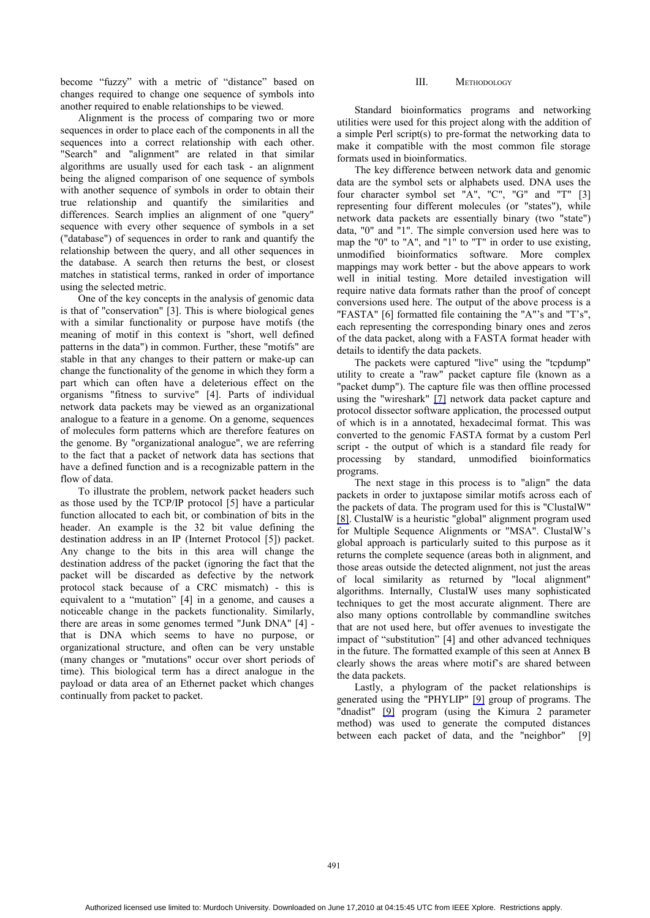become "fuzzy" with a metric of "distance" based on changes required to change one sequence of symbols into another required to enable relationships to be viewed.

Alignment is the process of comparing two or more sequences in order to place each of the components in all the sequences into a correct relationship with each other. "Search" and "alignment" are related in that similar algorithms are usually used for each task - an alignment being the aligned comparison of one sequence of symbols with another sequence of symbols in order to obtain their true relationship and quantify the similarities and differences. Search implies an alignment of one "query" sequence with every other sequence of symbols in a set ("database") of sequences in order to rank and quantify the relationship between the query, and all other sequences in the database. A search then returns the best, or closest matches in statistical terms, ranked in order of importance using the selected metric.

One of the key concepts in the analysis of genomic data is that of "conservation" [3]. This is where biological genes with a similar functionality or purpose have motifs (the meaning of motif in this context is "short, well defined patterns in the data") in common. Further, these "motifs" are stable in that any changes to their pattern or make-up can change the functionality of the genome in which they form a part which can often have a deleterious effect on the organisms "fitness to survive" [4]. Parts of individual network data packets may be viewed as an organizational analogue to a feature in a genome. On a genome, sequences of molecules form patterns which are therefore features on the genome. By "organizational analogue", we are referring to the fact that a packet of network data has sections that have a defined function and is a recognizable pattern in the flow of data.

To illustrate the problem, network packet headers such as those used by the TCP/IP protocol [5] have a particular function allocated to each bit, or combination of bits in the header. An example is the 32 bit value defining the destination address in an IP (Internet Protocol [5]) packet. Any change to the bits in this area will change the destination address of the packet (ignoring the fact that the packet will be discarded as defective by the network protocol stack because of a CRC mismatch) - this is equivalent to a "mutation" [4] in a genome, and causes a noticeable change in the packets functionality. Similarly, there are areas in some genomes termed "Junk DNA" [4] that is DNA which seems to have no purpose, or organizational structure, and often can be very unstable (many changes or "mutations" occur over short periods of time). This biological term has a direct analogue in the payload or data area of an Ethernet packet which changes continually from packet to packet.

## III. METHODOLOGY

Standard bioinformatics programs and networking utilities were used for this project along with the addition of a simple Perl script(s) to pre-format the networking data to make it compatible with the most common file storage formats used in bioinformatics.

The key difference between network data and genomic data are the symbol sets or alphabets used. DNA uses the four character symbol set "A", "C", "G" and "T" [3] representing four different molecules (or "states"), while network data packets are essentially binary (two "state") data, "0" and "1". The simple conversion used here was to map the "0" to "A", and "1" to "T" in order to use existing, unmodified bioinformatics software. More complex mappings may work better - but the above appears to work well in initial testing. More detailed investigation will require native data formats rather than the proof of concept conversions used here. The output of the above process is a "FASTA" [6] formatted file containing the "A"'s and "T's", each representing the corresponding binary ones and zeros of the data packet, along with a FASTA format header with details to identify the data packets.

The packets were captured "live" using the "tcpdump" utility to create a "raw" packet capture file (known as a "packet dump"). The capture file was then offline processed using the "wireshark" [7] network data packet capture and protocol dissector software application, the processed output of which is in a annotated, hexadecimal format. This was converted to the genomic FASTA format by a custom Perl script - the output of which is a standard file ready for processing by standard, unmodified bioinformatics programs.

The next stage in this process is to "align" the data packets in order to juxtapose similar motifs across each of the packets of data. The program used for this is "ClustalW" [8]. ClustalW is a heuristic "global" alignment program used for Multiple Sequence Alignments or "MSA". ClustalW's global approach is particularly suited to this purpose as it returns the complete sequence (areas both in alignment, and those areas outside the detected alignment, not just the areas of local similarity as returned by "local alignment" algorithms. Internally, ClustalW uses many sophisticated techniques to get the most accurate alignment. There are also many options controllable by commandline switches that are not used here, but offer avenues to investigate the impact of "substitution" [4] and other advanced techniques in the future. The formatted example of this seen at Annex B clearly shows the areas where motif's are shared between the data packets.

Lastly, a phylogram of the packet relationships is generated using the "PHYLIP" [9] group of programs. The "dnadist" [9] program (using the Kimura 2 parameter method) was used to generate the computed distances between each packet of data, and the "neighbor" [9]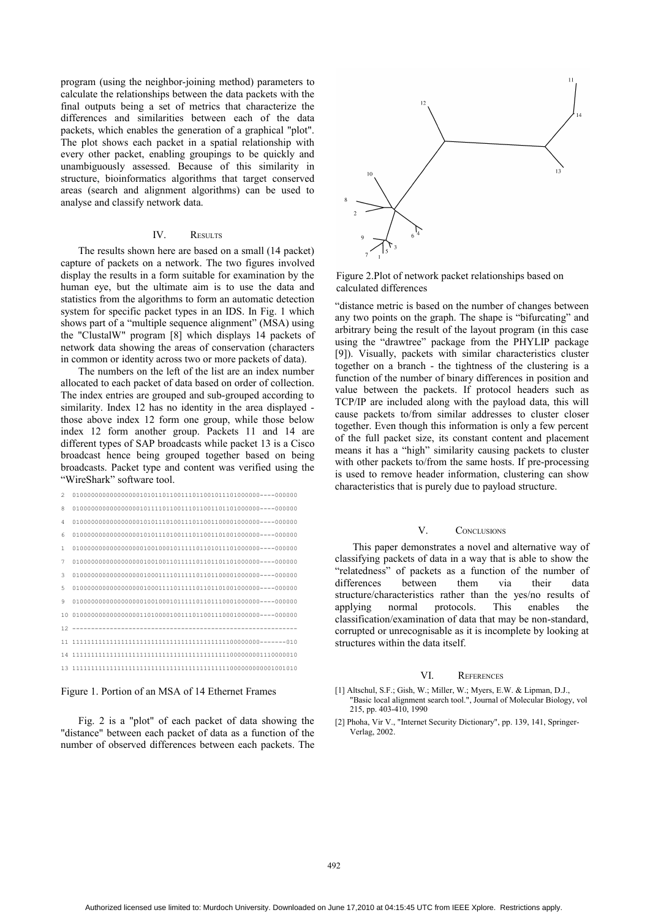program (using the neighbor-joining method) parameters to calculate the relationships between the data packets with the final outputs being a set of metrics that characterize the differences and similarities between each of the data packets, which enables the generation of a graphical "plot". The plot shows each packet in a spatial relationship with every other packet, enabling groupings to be quickly and unambiguously assessed. Because of this similarity in structure, bioinformatics algorithms that target conserved areas (search and alignment algorithms) can be used to analyse and classify network data.

## IV. RESULTS.

The results shown here are based on a small (14 packet) capture of packets on a network. The two figures involved display the results in a form suitable for examination by the human eye, but the ultimate aim is to use the data and statistics from the algorithms to form an automatic detection system for specific packet types in an IDS. In Fig. 1 which shows part of a "multiple sequence alignment" (MSA) using the "ClustalW" program [8] which displays 14 packets of network data showing the areas of conservation (characters in common or identity across two or more packets of data).

The numbers on the left of the list are an index number allocated to each packet of data based on order of collection. The index entries are grouped and sub-grouped according to similarity. Index 12 has no identity in the area displayed those above index 12 form one group, while those below index 12 form another group. Packets 11 and 14 are different types of SAP broadcasts while packet 13 is a Cisco broadcast hence being grouped together based on being broadcasts. Packet type and content was verified using the "WireShark" software tool.

| $\mathfrak{D}$ |              |
|----------------|--------------|
| 8              |              |
| 4              |              |
| 6              |              |
| $\mathbf{1}$   |              |
| 7              |              |
| 3              |              |
| 5              |              |
| 9              |              |
|                |              |
|                | $12 - - - -$ |
| 11             |              |
|                |              |
|                |              |

Figure 1. Portion of an MSA of 14 Ethernet Frames

Fig. 2 is a "plot" of each packet of data showing the "distance" between each packet of data as a function of the number of observed differences between each packets. The



Figure 2.Plot of network packet relationships based on calculated differences

"distance metric is based on the number of changes between any two points on the graph. The shape is "bifurcating" and arbitrary being the result of the layout program (in this case using the "drawtree" package from the PHYLIP package [9]). Visually, packets with similar characteristics cluster together on a branch - the tightness of the clustering is a function of the number of binary differences in position and value between the packets. If protocol headers such as TCP/IP are included along with the payload data, this will cause packets to/from similar addresses to cluster closer together. Even though this information is only a few percent of the full packet size, its constant content and placement means it has a "high" similarity causing packets to cluster with other packets to/from the same hosts. If pre-processing is used to remove header information, clustering can show characteristics that is purely due to payload structure.

## V. CONCLUSIONS

This paper demonstrates a novel and alternative way of classifying packets of data in a way that is able to show the "relatedness" of packets as a function of the number of differences between them via their data structure/characteristics rather than the yes/no results of applying normal protocols. This enables the classification/examination of data that may be non-standard, corrupted or unrecognisable as it is incomplete by looking at structures within the data itself.

#### VI. REFERENCES

- [1] Altschul, S.F.; Gish, W.; Miller, W.; Myers, E.W. & Lipman, D.J., "Basic local alignment search tool.", Journal of Molecular Biology, vol 215, pp. 403-410, 1990
- [2] Phoha, Vir V., "Internet Security Dictionary", pp. 139, 141, Springer-Verlag, 2002.